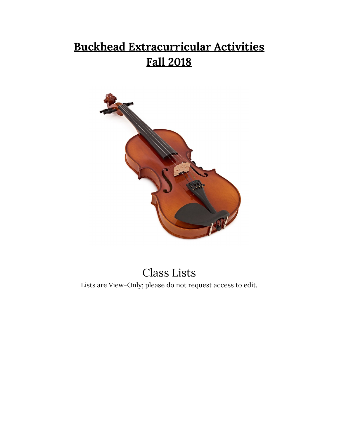## **Buckhead Extracurricular Activities Fall 2018**



### Class Lists

Lists are View-Only; please do not request access to edit.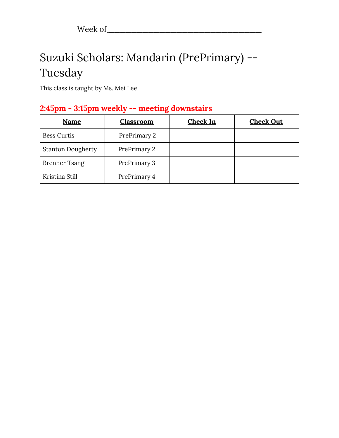## Suzuki Scholars: Mandarin (PrePrimary) -- Tuesday

This class is taught by Ms. Mei Lee.

### **2:45pm - 3:15pm weekly -- meeting downstairs**

| Name                     | <b>Classroom</b> | <b>Check In</b> | <b>Check Out</b> |
|--------------------------|------------------|-----------------|------------------|
| <b>Bess Curtis</b>       | PrePrimary 2     |                 |                  |
| <b>Stanton Dougherty</b> | PrePrimary 2     |                 |                  |
| <b>Brenner Tsang</b>     | PrePrimary 3     |                 |                  |
| Kristina Still           | PrePrimary 4     |                 |                  |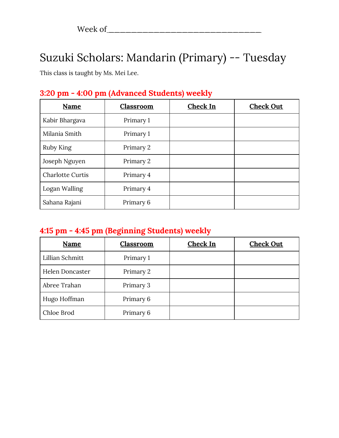### Suzuki Scholars: Mandarin (Primary) -- Tuesday

This class is taught by Ms. Mei Lee.

| 3:20 pm - 4:00 pm (Advanced Students) weekly |  |
|----------------------------------------------|--|
|                                              |  |

| Name                    | <b>Classroom</b> | Check In | <b>Check Out</b> |
|-------------------------|------------------|----------|------------------|
| Kabir Bhargava          | Primary 1        |          |                  |
| Milania Smith           | Primary 1        |          |                  |
| Ruby King               | Primary 2        |          |                  |
| Joseph Nguyen           | Primary 2        |          |                  |
| <b>Charlotte Curtis</b> | Primary 4        |          |                  |
| Logan Walling           | Primary 4        |          |                  |
| Sahana Rajani           | Primary 6        |          |                  |

### **4:15 pm - 4:45 pm (Beginning Students) weekly**

| <b>Name</b>     | Classroom | Check In | <b>Check Out</b> |
|-----------------|-----------|----------|------------------|
| Lillian Schmitt | Primary 1 |          |                  |
| Helen Doncaster | Primary 2 |          |                  |
| Abree Trahan    | Primary 3 |          |                  |
| Hugo Hoffman    | Primary 6 |          |                  |
| Chloe Brod      | Primary 6 |          |                  |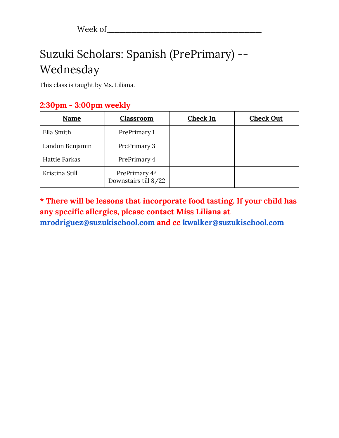## Suzuki Scholars: Spanish (PrePrimary) -- Wednesday

This class is taught by Ms. Liliana.

### **2:30pm - 3:00pm weekly**

| Name            | <b>Classroom</b>                      | <b>Check In</b> | <b>Check Out</b> |
|-----------------|---------------------------------------|-----------------|------------------|
| Ella Smith      | PrePrimary 1                          |                 |                  |
| Landon Benjamin | PrePrimary 3                          |                 |                  |
| Hattie Farkas   | PrePrimary 4                          |                 |                  |
| Kristina Still  | PrePrimary 4*<br>Downstairs till 8/22 |                 |                  |

**\* There will be lessons that incorporate food tasting. If your child has any specific allergies, please contact Miss Liliana at [mrodriguez@suzukischool.com](mailto:mrodriguez@suzukischool.com) and cc [kwalker@suzukischool.com](mailto:kwalker@suzukischool.com)**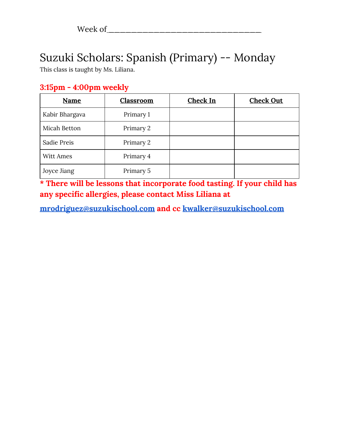# Suzuki Scholars: Spanish (Primary) -- Monday

This class is taught by Ms. Liliana.

| <b>Name</b>    | Classroom | Check In | <b>Check Out</b> |
|----------------|-----------|----------|------------------|
| Kabir Bhargava | Primary 1 |          |                  |
| Micah Betton   | Primary 2 |          |                  |
| Sadie Preis    | Primary 2 |          |                  |
| Witt Ames      | Primary 4 |          |                  |
| Joyce Jiang    | Primary 5 |          |                  |

**\* There will be lessons that incorporate food tasting. If your child has any specific allergies, please contact Miss Liliana at**

**[mrodriguez@suzukischool.com](mailto:mrodriguez@suzukischool.com) and cc [kwalker@suzukischool.com](mailto:kwalker@suzukischool.com)**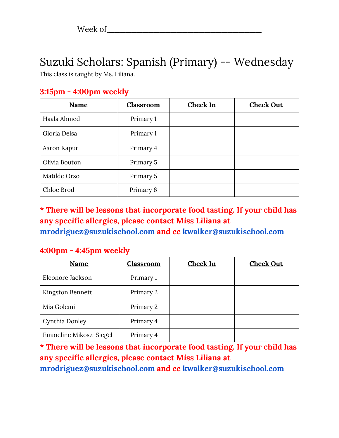### Suzuki Scholars: Spanish (Primary) -- Wednesday

This class is taught by Ms. Liliana.

| $3:15$ pm - $4:00$ pm weekly |  |
|------------------------------|--|
|                              |  |

| Name          | Classroom | Check In | <b>Check Out</b> |
|---------------|-----------|----------|------------------|
| Haala Ahmed   | Primary 1 |          |                  |
| Gloria Delsa  | Primary 1 |          |                  |
| Aaron Kapur   | Primary 4 |          |                  |
| Olivia Bouton | Primary 5 |          |                  |
| Matilde Orso  | Primary 5 |          |                  |
| Chloe Brod    | Primary 6 |          |                  |

**\* There will be lessons that incorporate food tasting. If your child has any specific allergies, please contact Miss Liliana at [mrodriguez@suzukischool.com](mailto:mrodriguez@suzukischool.com) and cc [kwalker@suzukischool.com](mailto:kwalker@suzukischool.com)**

### **4:00pm - 4:45pm weekly**

| Name                   | Classroom | <b>Check In</b> | <b>Check Out</b> |
|------------------------|-----------|-----------------|------------------|
| Eleonore Jackson       | Primary 1 |                 |                  |
| Kingston Bennett       | Primary 2 |                 |                  |
| Mia Golemi             | Primary 2 |                 |                  |
| Cynthia Donley         | Primary 4 |                 |                  |
| Emmeline Mikosz-Siegel | Primary 4 |                 |                  |

**\* There will be lessons that incorporate food tasting. If your child has any specific allergies, please contact Miss Liliana at [mrodriguez@suzukischool.com](mailto:mrodriguez@suzukischool.com) and cc [kwalker@suzukischool.com](mailto:kwalker@suzukischool.com)**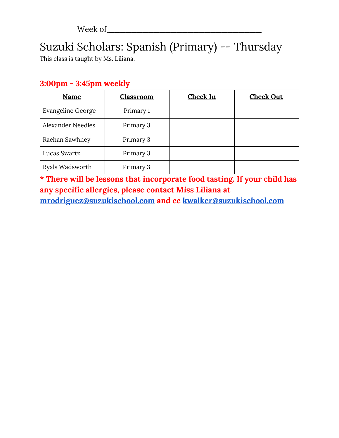# Suzuki Scholars: Spanish (Primary) -- Thursday

This class is taught by Ms. Liliana.

### **3:00pm - 3:45pm weekly**

| Name                     | Classroom | Check In | <b>Check Out</b> |
|--------------------------|-----------|----------|------------------|
| <b>Evangeline George</b> | Primary 1 |          |                  |
| <b>Alexander Needles</b> | Primary 3 |          |                  |
| Raehan Sawhney           | Primary 3 |          |                  |
| Lucas Swartz             | Primary 3 |          |                  |
| Ryals Wadsworth          | Primary 3 |          |                  |

**\* There will be lessons that incorporate food tasting. If your child has any specific allergies, please contact Miss Liliana at**

**[mrodriguez@suzukischool.com](mailto:mrodriguez@suzukischool.com) and cc [kwalker@suzukischool.com](mailto:kwalker@suzukischool.com)**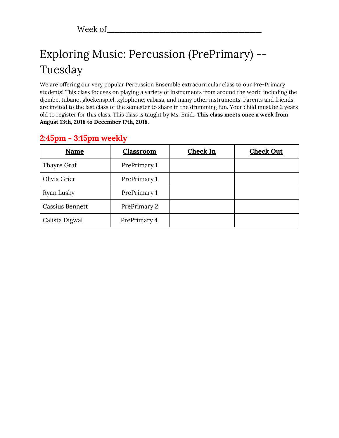# Exploring Music: Percussion (PrePrimary) -- Tuesday

We are offering our very popular Percussion Ensemble extracurricular class to our Pre-Primary students! This class focuses on playing a variety of instruments from around the world including the djembe, tubano, glockenspiel, xylophone, cabasa, and many other instruments. Parents and friends are invited to the last class of the semester to share in the drumming fun. Your child must be 2 years old to register for this class. This class is taught by Ms. Enid.. **This class meets once a week from August 13th, 2018 to December 17th, 2018.**

| Name                   | <b>Classroom</b> | Check In | <b>Check Out</b> |
|------------------------|------------------|----------|------------------|
| Thayre Graf            | PrePrimary 1     |          |                  |
| Olivia Grier           | PrePrimary 1     |          |                  |
| Ryan Lusky             | PrePrimary 1     |          |                  |
| <b>Cassius Bennett</b> | PrePrimary 2     |          |                  |
| Calista Digwal         | PrePrimary 4     |          |                  |

### **2:45pm - 3:15pm weekly**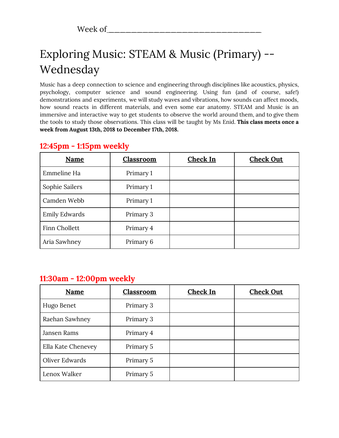# Exploring Music: STEAM & Music (Primary) -- Wednesday

Music has a deep connection to science and engineering through disciplines like acoustics, physics, psychology, computer science and sound engineering. Using fun (and of course, safe!) demonstrations and experiments, we will study waves and vibrations, how sounds can affect moods, how sound reacts in different materials, and even some ear anatomy. STEAM and Music is an immersive and interactive way to get students to observe the world around them, and to give them the tools to study those observations. This class will be taught by Ms Enid. **This class meets once a week from August 13th, 2018 to December 17th, 2018.**

| Name                 | Classroom | <b>Check In</b> | <b>Check Out</b> |
|----------------------|-----------|-----------------|------------------|
| Emmeline Ha          | Primary 1 |                 |                  |
| Sophie Sailers       | Primary 1 |                 |                  |
| Camden Webb          | Primary 1 |                 |                  |
| <b>Emily Edwards</b> | Primary 3 |                 |                  |
| Finn Chollett        | Primary 4 |                 |                  |
| Aria Sawhney         | Primary 6 |                 |                  |

#### **12:45pm - 1:15pm weekly**

#### **11:30am - 12:00pm weekly**

| Name               | Classroom | Check In | <b>Check Out</b> |
|--------------------|-----------|----------|------------------|
| Hugo Benet         | Primary 3 |          |                  |
| Raehan Sawhney     | Primary 3 |          |                  |
| Jansen Rams        | Primary 4 |          |                  |
| Ella Kate Chenevey | Primary 5 |          |                  |
| Oliver Edwards     | Primary 5 |          |                  |
| Lenox Walker       | Primary 5 |          |                  |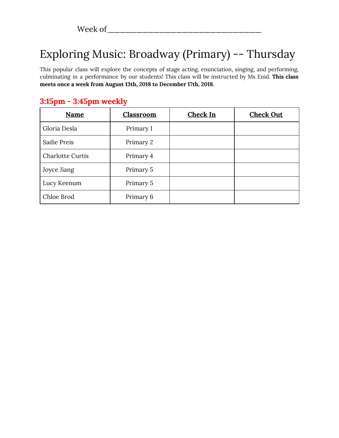# Exploring Music: Broadway (Primary) -- Thursday

This popular class will explore the concepts of stage acting, enunciation, singing, and performing, culminating in a performance by our students! This class will be instructed by Ms Enid. **This class meets once a week from August 13th, 2018 to December 17th, 2018.**

| <b>Name</b>             | Classroom | Check In | <b>Check Out</b> |
|-------------------------|-----------|----------|------------------|
| Gloria Desla            | Primary 1 |          |                  |
| Sadie Preis             | Primary 2 |          |                  |
| <b>Charlotte Curtis</b> | Primary 4 |          |                  |
| Joyce Jiang             | Primary 5 |          |                  |
| Lucy Keenum             | Primary 5 |          |                  |
| Chloe Brod              | Primary 6 |          |                  |

### **3:15pm - 3:45pm weekly**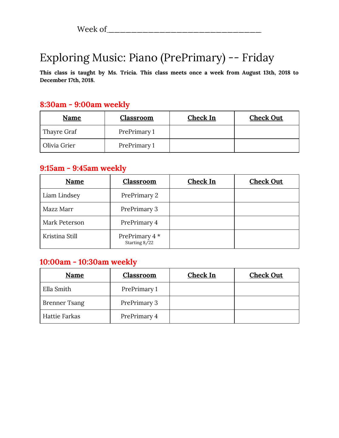## Exploring Music: Piano (PrePrimary) -- Friday

**This class is taught by Ms. Tricia. This class meets once a week from August 13th, 2018 to December 17th, 2018.**

#### **8:30am - 9:00am weekly**

| Name         | Classroom    | Check In | <b>Check Out</b> |
|--------------|--------------|----------|------------------|
| Thayre Graf  | PrePrimary 1 |          |                  |
| Olivia Grier | PrePrimary 1 |          |                  |

#### **9:15am - 9:45am weekly**

| <b>Name</b>    | <b>Classroom</b>                | <b>Check In</b> | <b>Check Out</b> |
|----------------|---------------------------------|-----------------|------------------|
| Liam Lindsey   | PrePrimary 2                    |                 |                  |
| Mazz Marr      | PrePrimary 3                    |                 |                  |
| Mark Peterson  | PrePrimary 4                    |                 |                  |
| Kristina Still | PrePrimary 4 *<br>Starting 8/22 |                 |                  |

#### **10:00am - 10:30am weekly**

| Name                 | <b>Classroom</b> | Check In | <b>Check Out</b> |
|----------------------|------------------|----------|------------------|
| Ella Smith           | PrePrimary 1     |          |                  |
| <b>Brenner Tsang</b> | PrePrimary 3     |          |                  |
| <b>Hattie Farkas</b> | PrePrimary 4     |          |                  |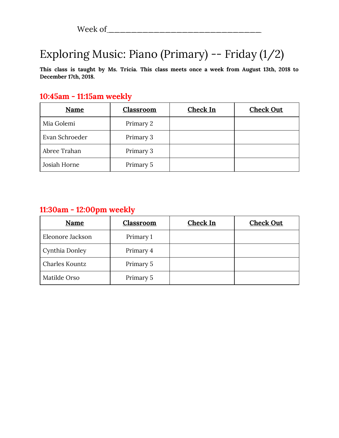## Exploring Music: Piano (Primary) -- Friday (1/2)

**This class is taught by Ms. Tricia. This class meets once a week from August 13th, 2018 to December 17th, 2018.**

#### **10:45am - 11:15am weekly**

| <b>Name</b>    | <b>Classroom</b> | Check In | <b>Check Out</b> |
|----------------|------------------|----------|------------------|
| Mia Golemi     | Primary 2        |          |                  |
| Evan Schroeder | Primary 3        |          |                  |
| Abree Trahan   | Primary 3        |          |                  |
| Josiah Horne   | Primary 5        |          |                  |

#### **11:30am - 12:00pm weekly**

| <b>Name</b>      | <b>Classroom</b> | <b>Check In</b> | <b>Check Out</b> |
|------------------|------------------|-----------------|------------------|
| Eleonore Jackson | Primary 1        |                 |                  |
| Cynthia Donley   | Primary 4        |                 |                  |
| Charles Kountz   | Primary 5        |                 |                  |
| Matilde Orso     | Primary 5        |                 |                  |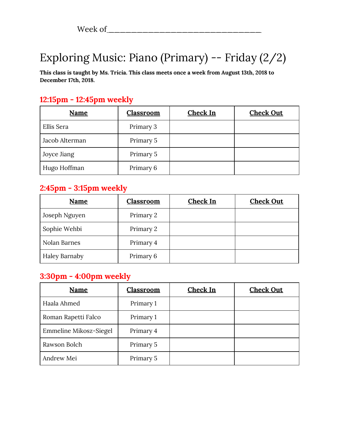## Exploring Music: Piano (Primary) -- Friday (2/2)

**This class is taught by Ms. Tricia. This class meets once a week from August 13th, 2018 to December 17th, 2018.**

### **12:15pm - 12:45pm weekly**

| <b>Name</b>    | <b>Classroom</b> | <b>Check In</b> | <b>Check Out</b> |
|----------------|------------------|-----------------|------------------|
| Ellis Sera     | Primary 3        |                 |                  |
| Jacob Alterman | Primary 5        |                 |                  |
| Joyce Jiang    | Primary 5        |                 |                  |
| Hugo Hoffman   | Primary 6        |                 |                  |

#### **2:45pm - 3:15pm weekly**

| <b>Name</b>          | <b>Classroom</b> | <b>Check In</b> | <b>Check Out</b> |
|----------------------|------------------|-----------------|------------------|
| Joseph Nguyen        | Primary 2        |                 |                  |
| Sophie Wehbi         | Primary 2        |                 |                  |
| Nolan Barnes         | Primary 4        |                 |                  |
| <b>Haley Barnaby</b> | Primary 6        |                 |                  |

#### **3:30pm - 4:00pm weekly**

| Name                   | <b>Classroom</b> | Check In | <b>Check Out</b> |
|------------------------|------------------|----------|------------------|
| Haala Ahmed            | Primary 1        |          |                  |
| Roman Rapetti Falco    | Primary 1        |          |                  |
| Emmeline Mikosz-Siegel | Primary 4        |          |                  |
| Rawson Bolch           | Primary 5        |          |                  |
| Andrew Mei             | Primary 5        |          |                  |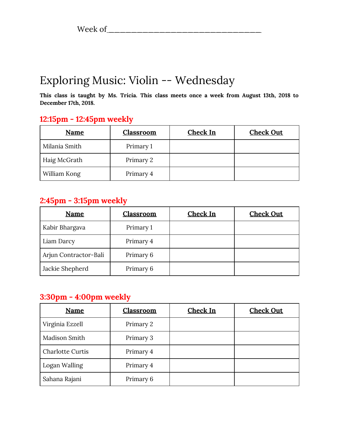### Exploring Music: Violin -- Wednesday

**This class is taught by Ms. Tricia. This class meets once a week from August 13th, 2018 to December 17th, 2018.**

### **12:15pm - 12:45pm weekly**

| <b>Name</b>   | <b>Classroom</b> | <b>Check In</b> | <b>Check Out</b> |
|---------------|------------------|-----------------|------------------|
| Milania Smith | Primary 1        |                 |                  |
| Haig McGrath  | Primary 2        |                 |                  |
| William Kong  | Primary 4        |                 |                  |

#### **2:45pm - 3:15pm weekly**

| <b>Name</b>           | <b>Classroom</b> | <b>Check In</b> | <b>Check Out</b> |
|-----------------------|------------------|-----------------|------------------|
| Kabir Bhargava        | Primary 1        |                 |                  |
| Liam Darcy            | Primary 4        |                 |                  |
| Arjun Contractor-Bali | Primary 6        |                 |                  |
| Jackie Shepherd       | Primary 6        |                 |                  |

#### **3:30pm - 4:00pm weekly**

| <b>Name</b>             | Classroom | Check In | <b>Check Out</b> |
|-------------------------|-----------|----------|------------------|
| Virginia Ezzell         | Primary 2 |          |                  |
| Madison Smith           | Primary 3 |          |                  |
| <b>Charlotte Curtis</b> | Primary 4 |          |                  |
| Logan Walling           | Primary 4 |          |                  |
| Sahana Rajani           | Primary 6 |          |                  |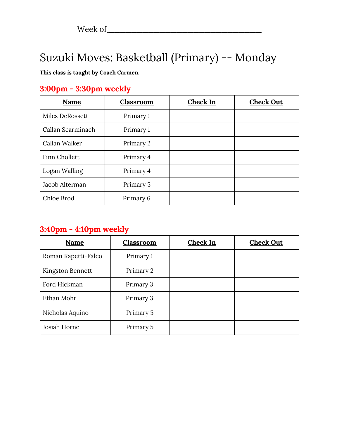### Suzuki Moves: Basketball (Primary) -- Monday

#### **This class is taught by Coach Carmen.**

### **3:00pm - 3:30pm weekly**

| Name              | <b>Classroom</b> | <b>Check In</b> | <b>Check Out</b> |
|-------------------|------------------|-----------------|------------------|
| Miles DeRossett   | Primary 1        |                 |                  |
| Callan Scarminach | Primary 1        |                 |                  |
| Callan Walker     | Primary 2        |                 |                  |
| Finn Chollett     | Primary 4        |                 |                  |
| Logan Walling     | Primary 4        |                 |                  |
| Jacob Alterman    | Primary 5        |                 |                  |
| Chloe Brod        | Primary 6        |                 |                  |

### **3:40pm - 4:10pm weekly**

| Name                | Classroom | Check In | <b>Check Out</b> |
|---------------------|-----------|----------|------------------|
| Roman Rapetti-Falco | Primary 1 |          |                  |
| Kingston Bennett    | Primary 2 |          |                  |
| Ford Hickman        | Primary 3 |          |                  |
| Ethan Mohr          | Primary 3 |          |                  |
| Nicholas Aquino     | Primary 5 |          |                  |
| Josiah Horne        | Primary 5 |          |                  |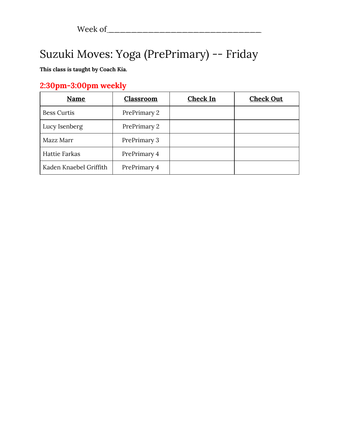# Suzuki Moves: Yoga (PrePrimary) -- Friday

**This class is taught by Coach Kia.**

### **2:30pm-3:00pm weekly**

| Name                   | Classroom    | <b>Check In</b> | <b>Check Out</b> |
|------------------------|--------------|-----------------|------------------|
| <b>Bess Curtis</b>     | PrePrimary 2 |                 |                  |
| Lucy Isenberg          | PrePrimary 2 |                 |                  |
| Mazz Marr              | PrePrimary 3 |                 |                  |
| <b>Hattie Farkas</b>   | PrePrimary 4 |                 |                  |
| Kaden Knaebel Griffith | PrePrimary 4 |                 |                  |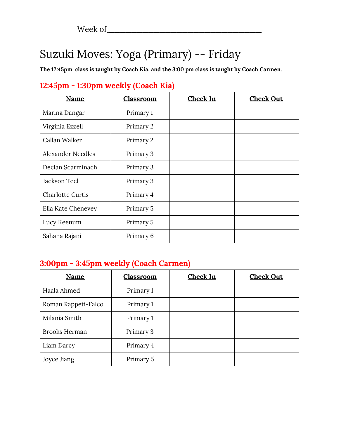## Suzuki Moves: Yoga (Primary) -- Friday

**The 12:45pm class is taught by Coach Kia, and the 3:00 pm class is taught by Coach Carmen.**

| <b>Name</b>              | <b>Classroom</b> | <b>Check In</b> | <b>Check Out</b> |
|--------------------------|------------------|-----------------|------------------|
| Marina Dangar            | Primary 1        |                 |                  |
| Virginia Ezzell          | Primary 2        |                 |                  |
| Callan Walker            | Primary 2        |                 |                  |
| <b>Alexander Needles</b> | Primary 3        |                 |                  |
| Declan Scarminach        | Primary 3        |                 |                  |
| Jackson Teel             | Primary 3        |                 |                  |
| <b>Charlotte Curtis</b>  | Primary 4        |                 |                  |
| Ella Kate Chenevey       | Primary 5        |                 |                  |
| Lucy Keenum              | Primary 5        |                 |                  |
| Sahana Rajani            | Primary 6        |                 |                  |

### **12:45pm - 1:30pm weekly (Coach Kia)**

### **3:00pm - 3:45pm weekly (Coach Carmen)**

| Name                 | Classroom | Check In | <b>Check Out</b> |
|----------------------|-----------|----------|------------------|
| Haala Ahmed          | Primary 1 |          |                  |
| Roman Rappeti-Falco  | Primary 1 |          |                  |
| Milania Smith        | Primary 1 |          |                  |
| <b>Brooks Herman</b> | Primary 3 |          |                  |
| Liam Darcy           | Primary 4 |          |                  |
| Joyce Jiang          | Primary 5 |          |                  |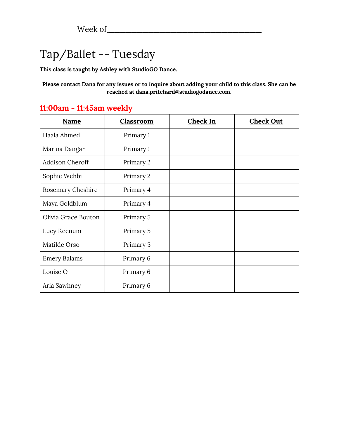## Tap/Ballet -- Tuesday

**This class is taught by Ashley with StudioGO Dance.**

Please contact Dana for any issues or to inquire about adding your child to this class. She can be **reached at dana.pritchard@studiogodance.com.**

| <b>Name</b>            | <b>Classroom</b> | <b>Check In</b> | <b>Check Out</b> |
|------------------------|------------------|-----------------|------------------|
| Haala Ahmed            | Primary 1        |                 |                  |
| Marina Dangar          | Primary 1        |                 |                  |
| <b>Addison Cheroff</b> | Primary 2        |                 |                  |
| Sophie Wehbi           | Primary 2        |                 |                  |
| Rosemary Cheshire      | Primary 4        |                 |                  |
| Maya Goldblum          | Primary 4        |                 |                  |
| Olivia Grace Bouton    | Primary 5        |                 |                  |
| Lucy Keenum            | Primary 5        |                 |                  |
| Matilde Orso           | Primary 5        |                 |                  |
| <b>Emery Balams</b>    | Primary 6        |                 |                  |
| Louise O               | Primary 6        |                 |                  |
| Aria Sawhney           | Primary 6        |                 |                  |

### **11:00am - 11:45am weekly**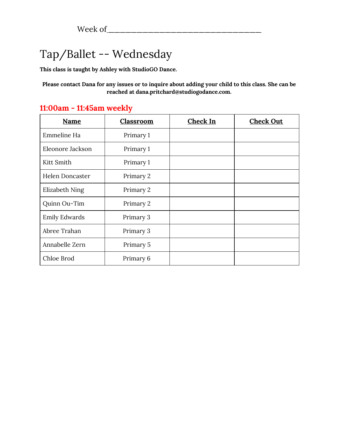## Tap/Ballet -- Wednesday

**This class is taught by Ashley with StudioGO Dance.**

Please contact Dana for any issues or to inquire about adding your child to this class. She can be **reached at dana.pritchard@studiogodance.com.**

| <b>Name</b>            | <b>Classroom</b> | <b>Check In</b> | <b>Check Out</b> |
|------------------------|------------------|-----------------|------------------|
| Emmeline Ha            | Primary 1        |                 |                  |
| Eleonore Jackson       | Primary 1        |                 |                  |
| Kitt Smith             | Primary 1        |                 |                  |
| <b>Helen Doncaster</b> | Primary 2        |                 |                  |
| Elizabeth Ning         | Primary 2        |                 |                  |
| Quinn Ou-Tim           | Primary 2        |                 |                  |
| <b>Emily Edwards</b>   | Primary 3        |                 |                  |
| Abree Trahan           | Primary 3        |                 |                  |
| Annabelle Zern         | Primary 5        |                 |                  |
| Chloe Brod             | Primary 6        |                 |                  |

#### **11:00am - 11:45am weekly**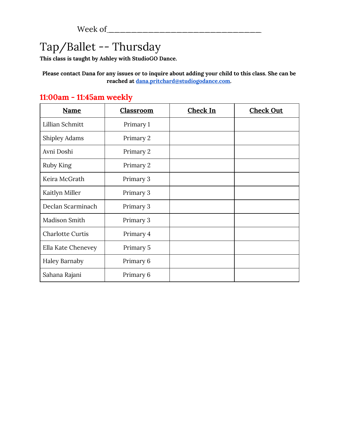## Tap/Ballet -- Thursday

**This class is taught by Ashley with StudioGO Dance.**

Please contact Dana for any issues or to inquire about adding your child to this class. She can be **reached at [dana.pritchard@studiogodance.com.](mailto:dana.pritchard@studiogodance.com)**

| <b>Name</b>             | <b>Classroom</b> | <b>Check In</b> | <b>Check Out</b> |
|-------------------------|------------------|-----------------|------------------|
| Lillian Schmitt         | Primary 1        |                 |                  |
| <b>Shipley Adams</b>    | Primary 2        |                 |                  |
| Avni Doshi              | Primary 2        |                 |                  |
| Ruby King               | Primary 2        |                 |                  |
| Keira McGrath           | Primary 3        |                 |                  |
| Kaitlyn Miller          | Primary 3        |                 |                  |
| Declan Scarminach       | Primary 3        |                 |                  |
| Madison Smith           | Primary 3        |                 |                  |
| <b>Charlotte Curtis</b> | Primary 4        |                 |                  |
| Ella Kate Chenevey      | Primary 5        |                 |                  |
| <b>Haley Barnaby</b>    | Primary 6        |                 |                  |
| Sahana Rajani           | Primary 6        |                 |                  |

### **11:00am - 11:45am weekly**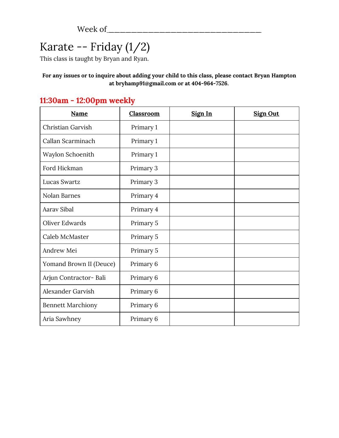# Karate -- Friday (1/2)

This class is taught by Bryan and Ryan.

**For any issues or to inquire about adding your child to this class, please contact Bryan Hampton at [bryhamp91@gmail.com](mailto:bryhamp91@gmail.com) or at 404-964-7526.**

| <b>Name</b>              | <b>Classroom</b> | Sign In | <b>Sign Out</b> |
|--------------------------|------------------|---------|-----------------|
| Christian Garvish        | Primary 1        |         |                 |
| Callan Scarminach        | Primary 1        |         |                 |
| Waylon Schoenith         | Primary 1        |         |                 |
| Ford Hickman             | Primary 3        |         |                 |
| Lucas Swartz             | Primary 3        |         |                 |
| Nolan Barnes             | Primary 4        |         |                 |
| Aarav Sibal              | Primary 4        |         |                 |
| Oliver Edwards           | Primary 5        |         |                 |
| Caleb McMaster           | Primary 5        |         |                 |
| Andrew Mei               | Primary 5        |         |                 |
| Yomand Brown II (Deuce)  | Primary 6        |         |                 |
| Arjun Contractor-Bali    | Primary 6        |         |                 |
| Alexander Garvish        | Primary 6        |         |                 |
| <b>Bennett Marchiony</b> | Primary 6        |         |                 |
| Aria Sawhney             | Primary 6        |         |                 |

### **11:30am - 12:00pm weekly**